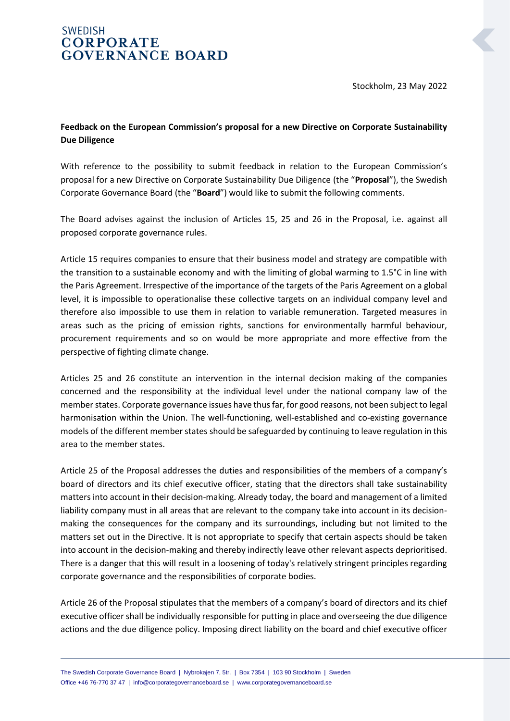## **SWEDISH CORPORATE GOVERNANCE BOARD**

Stockholm, 23 May 2022

## **Feedback on the European Commission's proposal for a new Directive on Corporate Sustainability Due Diligence**

With reference to the possibility to submit feedback in relation to the European Commission's proposal for a new Directive on Corporate Sustainability Due Diligence (the "**Proposal**"), the Swedish Corporate Governance Board (the "**Board**") would like to submit the following comments.

The Board advises against the inclusion of Articles 15, 25 and 26 in the Proposal, i.e. against all proposed corporate governance rules.

Article 15 requires companies to ensure that their business model and strategy are compatible with the transition to a sustainable economy and with the limiting of global warming to 1.5°C in line with the Paris Agreement. Irrespective of the importance of the targets of the Paris Agreement on a global level, it is impossible to operationalise these collective targets on an individual company level and therefore also impossible to use them in relation to variable remuneration. Targeted measures in areas such as the pricing of emission rights, sanctions for environmentally harmful behaviour, procurement requirements and so on would be more appropriate and more effective from the perspective of fighting climate change.

Articles 25 and 26 constitute an intervention in the internal decision making of the companies concerned and the responsibility at the individual level under the national company law of the member states. Corporate governance issues have thus far, for good reasons, not been subject to legal harmonisation within the Union. The well-functioning, well-established and co-existing governance models of the different member states should be safeguarded by continuing to leave regulation in this area to the member states.

Article 25 of the Proposal addresses the duties and responsibilities of the members of a company's board of directors and its chief executive officer, stating that the directors shall take sustainability matters into account in their decision-making. Already today, the board and management of a limited liability company must in all areas that are relevant to the company take into account in its decisionmaking the consequences for the company and its surroundings, including but not limited to the matters set out in the Directive. It is not appropriate to specify that certain aspects should be taken into account in the decision-making and thereby indirectly leave other relevant aspects deprioritised. There is a danger that this will result in a loosening of today's relatively stringent principles regarding corporate governance and the responsibilities of corporate bodies.

Article 26 of the Proposal stipulates that the members of a company's board of directors and its chief executive officer shall be individually responsible for putting in place and overseeing the due diligence actions and the due diligence policy. Imposing direct liability on the board and chief executive officer